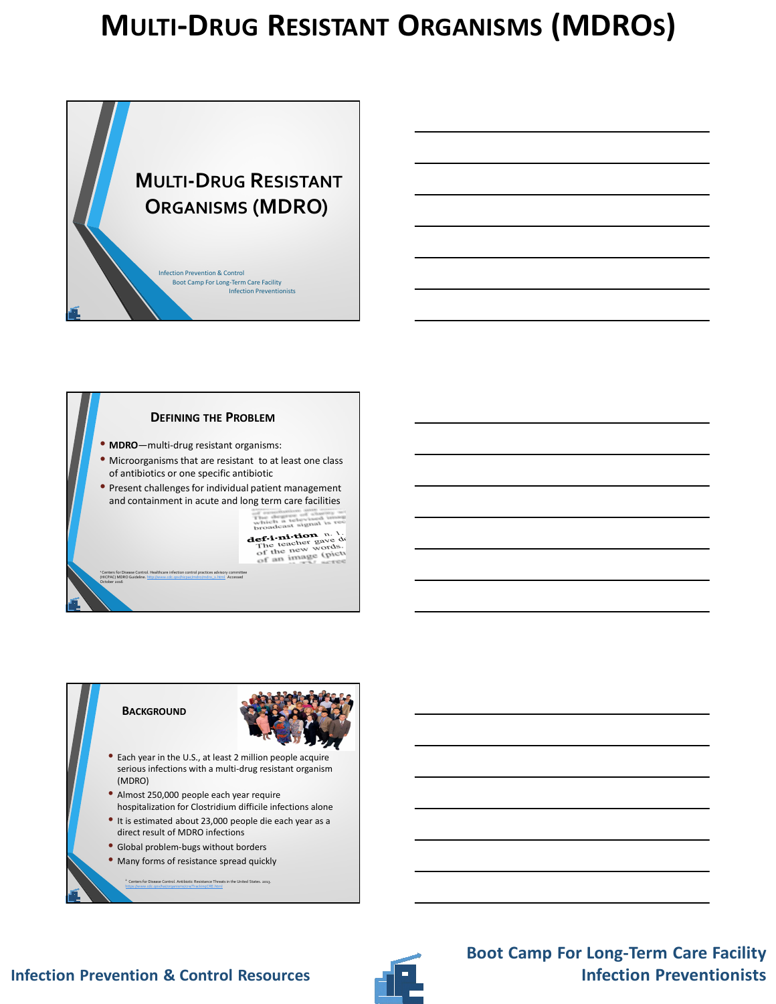



**BACKGROUND**



- Each year in the U.S., at least 2 million people acquire serious infections with a multi-drug resistant organism (MDRO)
- Almost 250,000 people each year require hospitalization for Clostridium difficile infections alone
- It is estimated about 23,000 people die each year as a direct result of MDRO infections
- Global problem-bugs without borders
- Many forms of resistance spread quickly

<sup>2</sup> Centers for Disease Control. Antibiotic Resistance Threats in the United States. 2013. https://www.cdc.gov/hai/organisms/cre/TrackingCRE.html

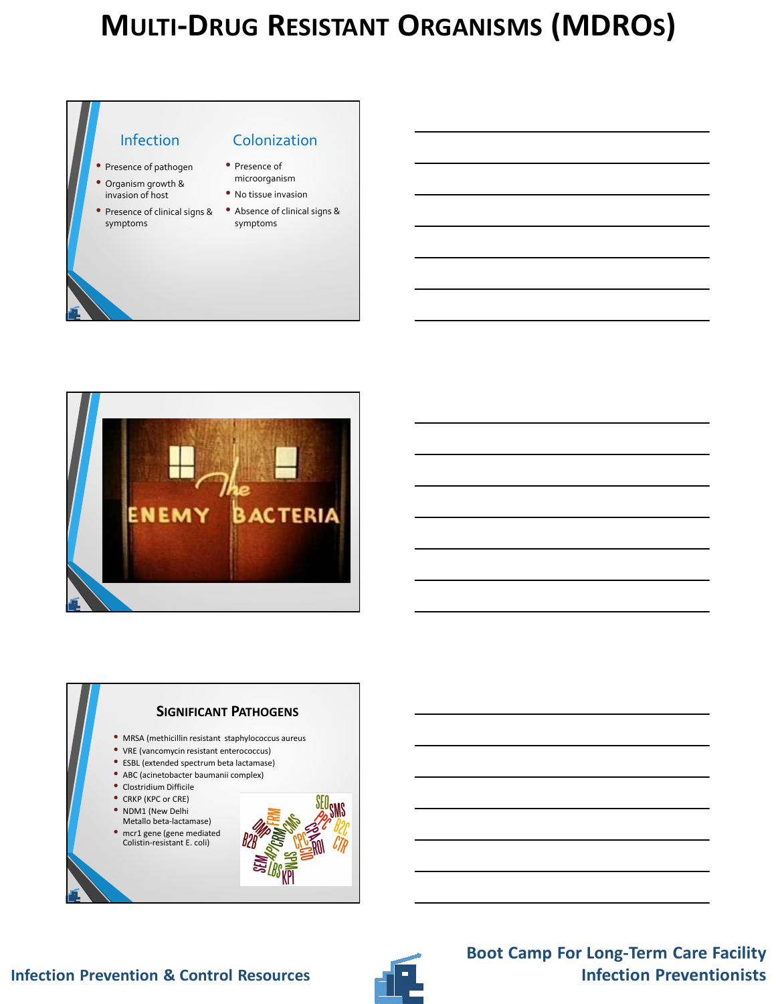





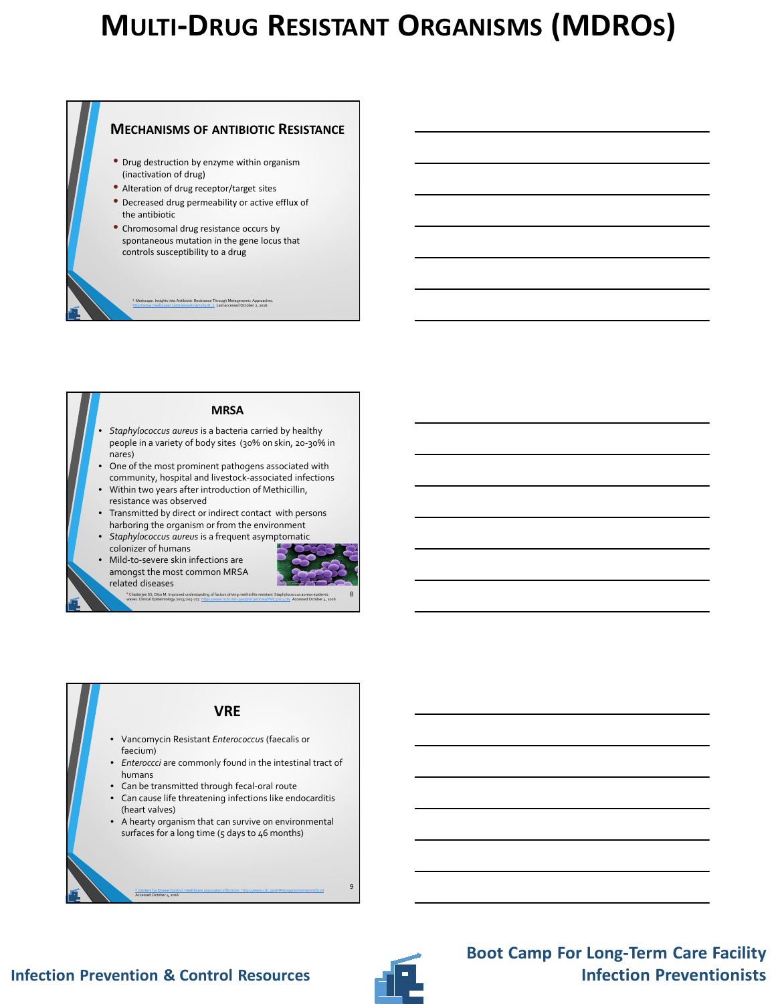### **MECHANISMS OF ANTIBIOTIC RESISTANCE** • Drug destruction by enzyme within organism (inactivation of drug) • Alteration of drug receptor/target sites • Decreased drug permeability or active efflux of the antibiotic • Chromosomal drug resistance occurs by spontaneous mutation in the gene locus that controls susceptibility to a drug 3 Medscape. Insights into Antibiotic Resistance Through Metagenomic Approaches.<br>http://www.medscape/.com/viewartcle/756378\_2 Last accessed October 2, 2016.

#### **MRSA**

- *Staphylococcus aureus* is a bacteria carried by healthy people in a variety of body sites (30% on skin, 20-30% in nares)
- One of the most prominent pathogens associated with community, hospital and livestock-associated infections
- Within two years after introduction of Methicillin, resistance was observed
- Transmitted by direct or indirect contact with persons harboring the organism or from the environment
- *Staphylococcus aureus* is a frequent asymptomatic
- colonizer of humans • Mild-to-severe skin infections are amongst the most common MRSA

related diseases



### **VRE**

- Vancomycin Resistant *Enterococcus* (faecalis or faecium)
- *Enteroccci* are commonly found in the intestinal tract of humans
- Can be transmitted through fecal-oral route
- Can cause life threatening infections like endocarditis (heart valves)
- A hearty organism that can survive on environmental surfaces for a long time (5 days to 46 months)

<sup>5</sup>Centers for Diseae Control. Healthcare associated infections https://www.cdc.gov/HAI/organisms/vre/vre/html

Accessed October 4, 2016

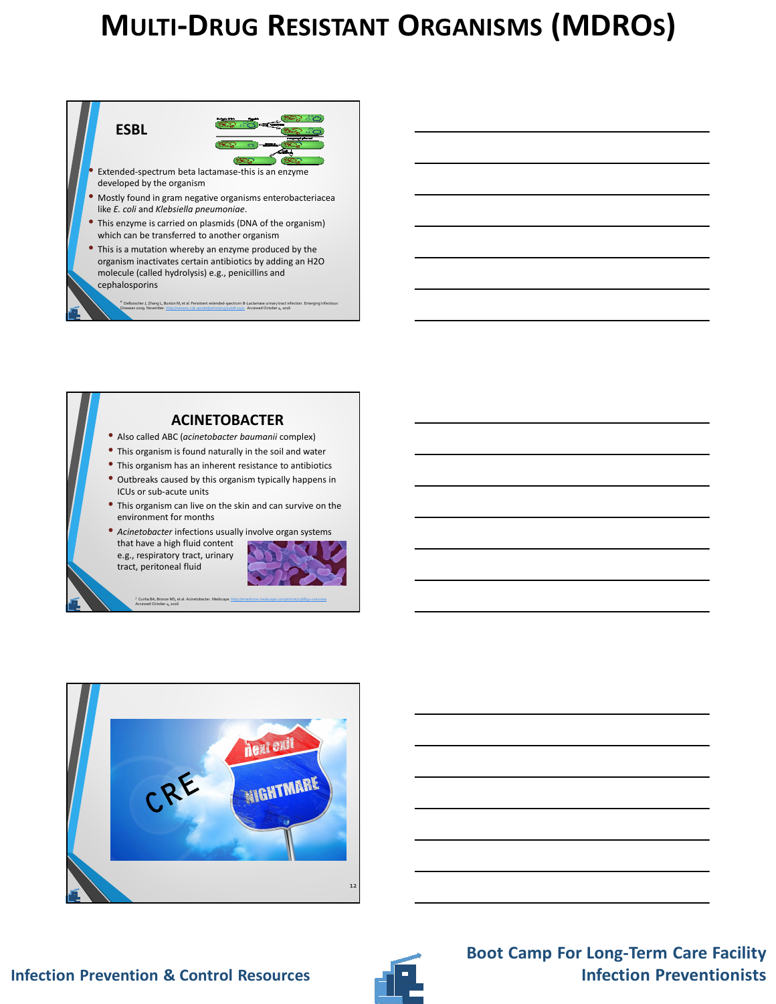



- Extended-spectrum beta lactamase-this is an enzyme developed by the organism
- Mostly found in gram negative organisms enterobacteriacea like *E. coli* and *Klebsiella pneumoniae*.
- This enzyme is carried on plasmids (DNA of the organism) which can be transferred to another organism
- This is a mutation whereby an enzyme produced by the organism inactivates certain antibiotics by adding an H2O molecule (called hydrolysis) e.g., penicillins and cephalosporins

er J, Zhang L, Buxton M, et al. Persistent extended-s Diseases 2009. November. http://wwwnc.cdc.gov/eid/article/15/11/08-1501 Accessed October 4, 2016









**Boot Camp For Long-Term Care Facility**